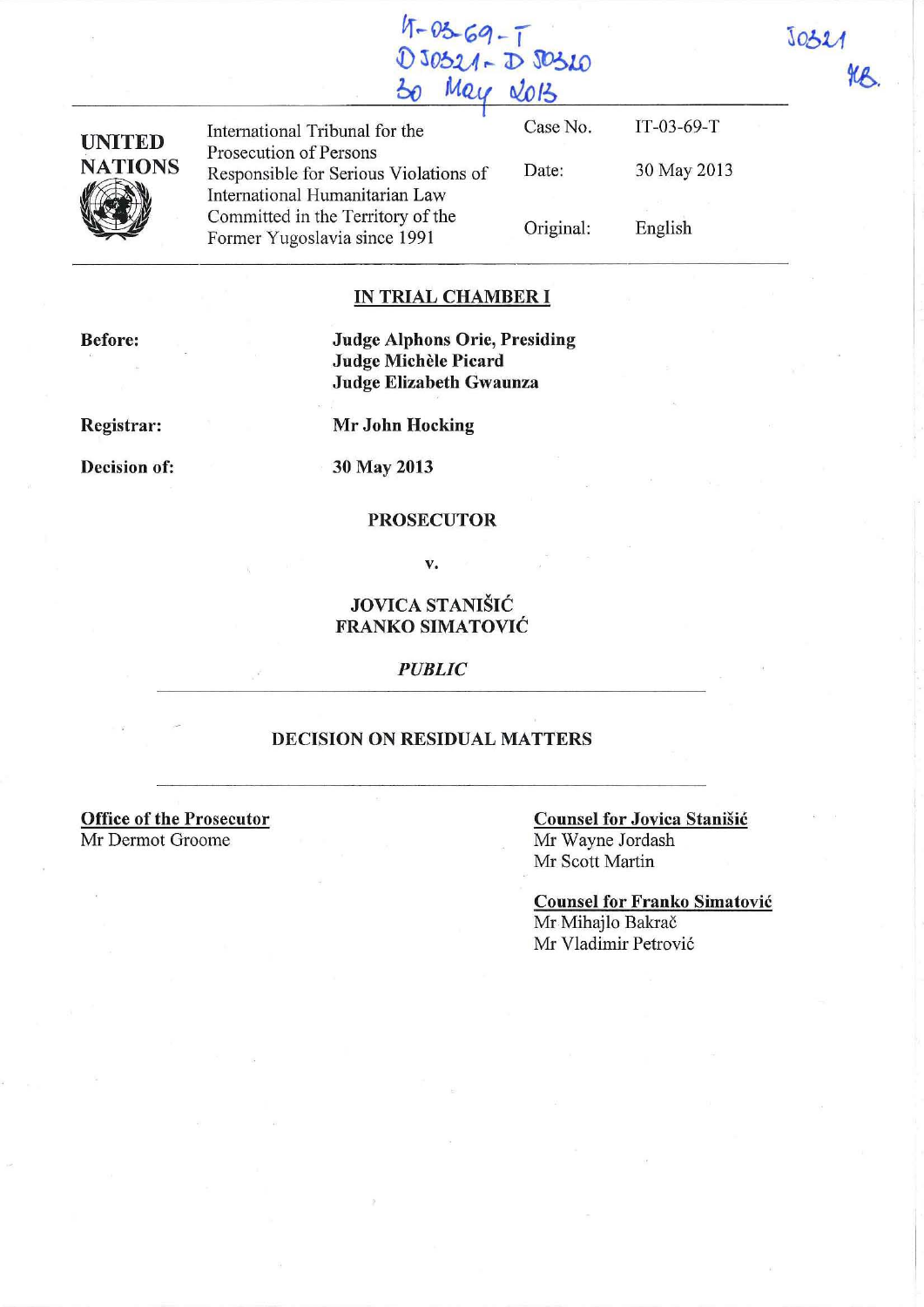| × |  |  |
|---|--|--|

| UNITED         |
|----------------|
| <b>NATIONS</b> |
|                |
|                |

International Tribunal for the Prosecution of Persons Responsible for Serious Violations of International Humanitarian Law Committed in the Territory of the Former Yugoslavia since 1991

Case No. Date: Original: IT-03-69-T 30 May 2013 English

## **IN TRIAL CHAMBER I**

 $4-03-69-1$ 

**.l)** *306U* **r- J)** ~LO  $Mau$  **2013** 

**Judge Alphons Orie, Presiding Judge MicheIe Picard Judge Elizabeth Gwaunza** 

**Registrar:** 

**Mr John Hocking** 

**Decision of:** 

**30** May **2013** 

#### **PROSECUTOR**

v.

# **JOVICA STANIŠIĆ FRANKO SIMATOVIC**

*PUBLIC* 

#### **DECISION ON RESIDUAL MATTERS**

**Office of the Prosecutor**  Mr Dermot Groome

### **Counsel for Jovica Stanisic**  Mr Wayne Jordash Mr Scott Martin

**Counsel for Franko Simatovic**  Mr Mihajlo Bakrač Mr Vladimir Petrovi6

**Before:** 

**SCR**